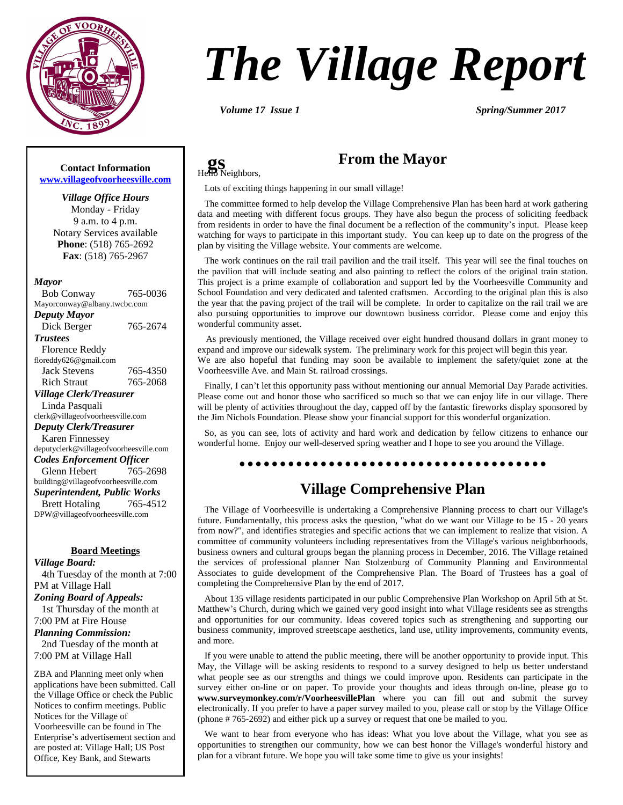

# *The Village Report*

**gs**<br>Hello Neighbors,

*Volume 17 Issue 1 Spring/Summer 2017*

#### **Contact Information [www.villageofvoorheesville.com](http://www.villageofvoorheesville.com)**

*Village Office Hours* Monday - Friday 9 a.m. to 4 p.m. Notary Services available **Phone**: (518) 765-2692 **Fax**: (518) 765-2967

#### *Mayor*

 Bob Conway 765-0036 Mayorconway@albany.twcbc.com *Deputy Mayor* Dick Berger 765-2674 *Trustees* Florence Reddy floreddy626@gmail.com Jack Stevens 765-4350 Rich Straut 765-2068 *Village Clerk/Treasurer* Linda Pasquali clerk@villageofvoorheesville.com *Deputy Clerk/Treasurer* Karen Finnessey deputyclerk@villageofvoorheesville.com *Codes Enforcement Officer* Glenn Hebert 765-2698 building@villageofvoorheesville.com *Superintendent, Public Works* Brett Hotaling 765-4512 DPW@villageofvoorheesville.com

#### **Board Meetings**

*Village Board:*

 4th Tuesday of the month at 7:00 PM at Village Hall

*Zoning Board of Appeals:*

 1st Thursday of the month at 7:00 PM at Fire House

#### *Planning Commission:*

 2nd Tuesday of the month at 7:00 PM at Village Hall

ZBA and Planning meet only when applications have been submitted. Call the Village Office or check the Public Notices to confirm meetings. Public Notices for the Village of Voorheesville can be found in The Enterprise's advertisement section and are posted at: Village Hall; US Post Office, Key Bank, and Stewarts

## **From the Mayor**

Lots of exciting things happening in our small village!

The committee formed to help develop the Village Comprehensive Plan has been hard at work gathering data and meeting with different focus groups. They have also begun the process of soliciting feedback from residents in order to have the final document be a reflection of the community's input. Please keep watching for ways to participate in this important study. You can keep up to date on the progress of the plan by visiting the Village website. Your comments are welcome.

The work continues on the rail trail pavilion and the trail itself. This year will see the final touches on the pavilion that will include seating and also painting to reflect the colors of the original train station. This project is a prime example of collaboration and support led by the Voorheesville Community and School Foundation and very dedicated and talented craftsmen. According to the original plan this is also the year that the paving project of the trail will be complete. In order to capitalize on the rail trail we are also pursuing opportunities to improve our downtown business corridor. Please come and enjoy this wonderful community asset.

As previously mentioned, the Village received over eight hundred thousand dollars in grant money to expand and improve our sidewalk system. The preliminary work for this project will begin this year. We are also hopeful that funding may soon be available to implement the safety/quiet zone at the Voorheesville Ave. and Main St. railroad crossings.

Finally, I can't let this opportunity pass without mentioning our annual Memorial Day Parade activities. Please come out and honor those who sacrificed so much so that we can enjoy life in our village. There will be plenty of activities throughout the day, capped off by the fantastic fireworks display sponsored by the Jim Nichols Foundation. Please show your financial support for this wonderful organization.

So, as you can see, lots of activity and hard work and dedication by fellow citizens to enhance our wonderful home. Enjoy our well-deserved spring weather and I hope to see you around the Village.

#### 

## **Village Comprehensive Plan**

The Village of Voorheesville is undertaking a Comprehensive Planning process to chart our Village's future. Fundamentally, this process asks the question, "what do we want our Village to be 15 - 20 years from now?", and identifies strategies and specific actions that we can implement to realize that vision. A committee of community volunteers including representatives from the Village's various neighborhoods, business owners and cultural groups began the planning process in December, 2016. The Village retained the services of professional planner Nan Stolzenburg of Community Planning and Environmental Associates to guide development of the Comprehensive Plan. The Board of Trustees has a goal of completing the Comprehensive Plan by the end of 2017.

About 135 village residents participated in our public Comprehensive Plan Workshop on April 5th at St. Matthew's Church, during which we gained very good insight into what Village residents see as strengths and opportunities for our community. Ideas covered topics such as strengthening and supporting our business community, improved streetscape aesthetics, land use, utility improvements, community events, and more.

If you were unable to attend the public meeting, there will be another opportunity to provide input. This May, the Village will be asking residents to respond to a survey designed to help us better understand what people see as our strengths and things we could improve upon. Residents can participate in the survey either on-line or on paper. To provide your thoughts and ideas through on-line, please go to **www.surveymonkey.com/r/VoorheesvillePlan** where you can fill out and submit the survey electronically. If you prefer to have a paper survey mailed to you, please call or stop by the Village Office (phone # 765-2692) and either pick up a survey or request that one be mailed to you.

We want to hear from everyone who has ideas: What you love about the Village, what you see as opportunities to strengthen our community, how we can best honor the Village's wonderful history and plan for a vibrant future. We hope you will take some time to give us your insights!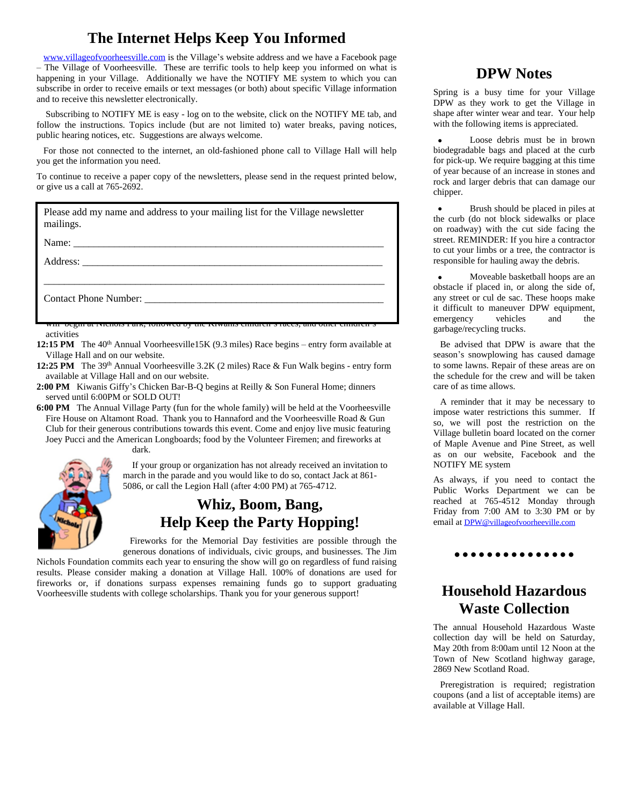## **The Internet Helps Keep You Informed**

[www.villageofvoorheesville.com](http://www.villageofvoorheesville.com) is the Village's website address and we have a Facebook page – The Village of Voorheesville. These are terrific tools to help keep you informed on what is happening in your Village. Additionally we have the NOTIFY ME system to which you can subscribe in order to receive emails or text messages (or both) about specific Village information and to receive this newsletter electronically.

Subscribing to NOTIFY ME is easy - log on to the website, click on the NOTIFY ME tab, and follow the instructions. Topics include (but are not limited to) water breaks, paving notices, public hearing notices, etc. Suggestions are always welcome.

For those not connected to the internet, an old-fashioned phone call to Village Hall will help you get the information you need.

To continue to receive a paper copy of the newsletters, please send in the request printed below, or give us a call at 765-2692.

| Please add my name and address to your mailing list for the Village newsletter<br>mailings.                    |
|----------------------------------------------------------------------------------------------------------------|
|                                                                                                                |
| Address: 2008 and 2008 and 2008 and 2008 and 2008 and 2008 and 2008 and 2008 and 2008 and 2008 and 2008 and 20 |
|                                                                                                                |
| Contact Phone Number:                                                                                          |
| <u>will begin at ixienois I alw, followed by the Kiwallis emidients faces, and other emidients</u>             |

activities

**12:15 PM** The 40<sup>th</sup> Annual Voorheesville15K (9.3 miles) Race begins – entry form available at Village Hall and on our website.

- **12:25 PM** The 39th Annual Voorheesville 3.2K (2 miles) Race & Fun Walk begins entry form available at Village Hall and on our website.
- **2:00 PM** Kiwanis Giffy's Chicken Bar-B-Q begins at Reilly & Son Funeral Home; dinners served until 6:00PM or SOLD OUT!

dark.

**6:00 PM** The Annual Village Party (fun for the whole family) will be held at the Voorheesville Fire House on Altamont Road. Thank you to Hannaford and the Voorheesville Road & Gun Club for their generous contributions towards this event. Come and enjoy live music featuring Joey Pucci and the American Longboards; food by the Volunteer Firemen; and fireworks at



 If your group or organization has not already received an invitation to march in the parade and you would like to do so, contact Jack at 861- 5086, or call the Legion Hall (after 4:00 PM) at 765-4712.

## **Whiz, Boom, Bang, Help Keep the Party Hopping!**

Fireworks for the Memorial Day festivities are possible through the generous donations of individuals, civic groups, and businesses. The Jim

Nichols Foundation commits each year to ensuring the show will go on regardless of fund raising results. Please consider making a donation at Village Hall. 100% of donations are used for fireworks or, if donations surpass expenses remaining funds go to support graduating Voorheesville students with college scholarships. Thank you for your generous support!

## **DPW Notes**

Spring is a busy time for your Village DPW as they work to get the Village in shape after winter wear and tear. Your help with the following items is appreciated.

 Loose debris must be in brown biodegradable bags and placed at the curb for pick-up. We require bagging at this time of year because of an increase in stones and rock and larger debris that can damage our chipper.

 Brush should be placed in piles at the curb (do not block sidewalks or place on roadway) with the cut side facing the street. REMINDER: If you hire a contractor to cut your limbs or a tree, the contractor is responsible for hauling away the debris.

 Moveable basketball hoops are an obstacle if placed in, or along the side of, any street or cul de sac. These hoops make it difficult to maneuver DPW equipment, emergency vehicles and the garbage/recycling trucks.

Be advised that DPW is aware that the season's snowplowing has caused damage to some lawns. Repair of these areas are on the schedule for the crew and will be taken care of as time allows.

A reminder that it may be necessary to impose water restrictions this summer. If so, we will post the restriction on the Village bulletin board located on the corner of Maple Avenue and Pine Street, as well as on our website, Facebook and the NOTIFY ME system

As always, if you need to contact the Public Works Department we can be reached at 765-4512 Monday through Friday from 7:00 AM to 3:30 PM or by email at [DPW@villageofvoorheeville.com](mailto:DPW@villageofvoorheeville.com)

#### . . . . . . . . . . . . . *.*

## **Household Hazardous Waste Collection**

The annual Household Hazardous Waste collection day will be held on Saturday, May 20th from 8:00am until 12 Noon at the Town of New Scotland highway garage, 2869 New Scotland Road.

Preregistration is required; registration coupons (and a list of acceptable items) are available at Village Hall.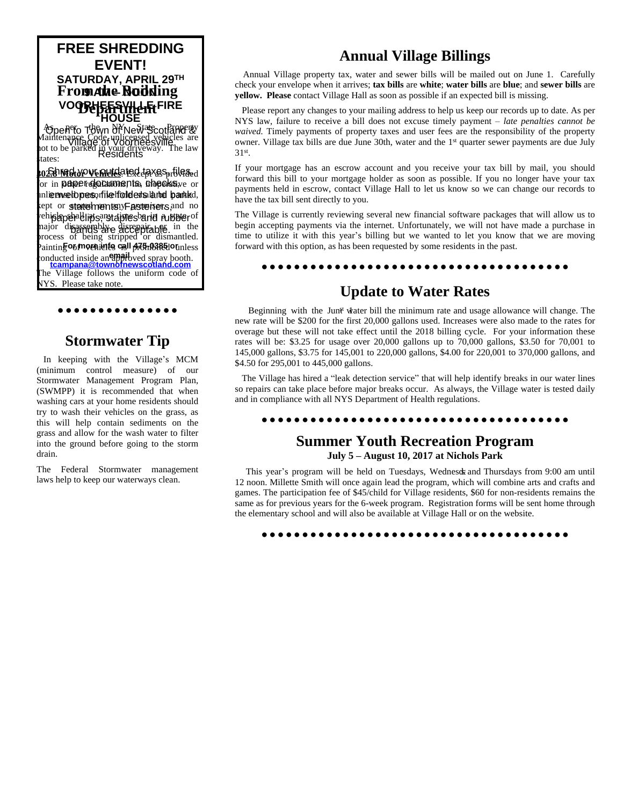## **FREE SHREDDING EVENT! SATURDAY, APRIL 29TH 9 AM – NOON From the Building VOORHEESWILLE FIRE HOUSE**

Open to Town of New Scotland & Village of Voorheesville **Residents** As pero The NY New State Of Braperty Maintenance Code, unlicensed vehicles are not to be parked in your driveway. The law tates:

<mark>302.8 MGH/YOVERUIQ</mark>ated taxeS<sub>pr</sub>tilG&d or in **paper documents, cheeks** ve or inlieenvelopes, file holders land bankd, kept or **statements**:yFastemers, and no ehislapehall in sarstaples barid rubber of najor disassembly disrepair able. in the Paintin**g o<sub>f</sub> mornities call A75r038510** unless onducted inside aneappibyed spray booth. **[tcampana@townofnewscotland.com](mailto:tcampana@townofnewscotland.com)**<br>The Village follows the uniform code of process of being stripped or dismantled.

NYS. Please take note.

## **Stormwater Tip**

. . . . . . . . . . . . . . .

In keeping with the Village's MCM (minimum control measure) of our Stormwater Management Program Plan, (SWMPP) it is recommended that when washing cars at your home residents should try to wash their vehicles on the grass, as this will help contain sediments on the grass and allow for the wash water to filter into the ground before going to the storm drain.

The Federal Stormwater management laws help to keep our waterways clean.

## **Annual Village Billings**

Annual Village property tax, water and sewer bills will be mailed out on June 1. Carefully check your envelope when it arrives; **tax bills** are **white**; **water bills** are **blue**; and **sewer bills** are **yellow. Please** contact Village Hall as soon as possible if an expected bill is missing.

Please report any changes to your mailing address to help us keep our records up to date. As per NYS law, failure to receive a bill does not excuse timely payment – *late penalties cannot be waived.* Timely payments of property taxes and user fees are the responsibility of the property owner. Village tax bills are due June 30th, water and the 1<sup>st</sup> quarter sewer payments are due July 31st .

If your mortgage has an escrow account and you receive your tax bill by mail, you should forward this bill to your mortgage holder as soon as possible. If you no longer have your tax payments held in escrow, contact Village Hall to let us know so we can change our records to have the tax bill sent directly to you.

The Village is currently reviewing several new financial software packages that will allow us to begin accepting payments via the internet. Unfortunately, we will not have made a purchase in time to utilize it with this year's billing but we wanted to let you know that we are moving forward with this option, as has been requested by some residents in the past.

#### 

## **Update to Water Rates**

Beginning with the Jun<sup>gt</sup> water bill the minimum rate and usage allowance will change. The new rate will be \$200 for the first 20,000 gallons used. Increases were also made to the rates for overage but these will not take effect until the 2018 billing cycle. For your information these rates will be: \$3.25 for usage over 20,000 gallons up to 70,000 gallons, \$3.50 for 70,001 to 145,000 gallons, \$3.75 for 145,001 to 220,000 gallons, \$4.00 for 220,001 to 370,000 gallons, and \$4.50 for 295,001 to 445,000 gallons.

The Village has hired a "leak detection service" that will help identify breaks in our water lines so repairs can take place before major breaks occur. As always, the Village water is tested daily and in compliance with all NYS Department of Health regulations.

#### 

#### **Summer Youth Recreation Program July 5 – August 10, 2017 at Nichols Park**

This year's program will be held on Tuesdays, Wednesdx and Thursdays from 9:00 am until 12 noon. Millette Smith will once again lead the program, which will combine arts and crafts and games. The participation fee of \$45/child for Village residents, \$60 for non-residents remains the same as for previous years for the 6-week program. Registration forms will be sent home through the elementary school and will also be available at Village Hall or on the website.

####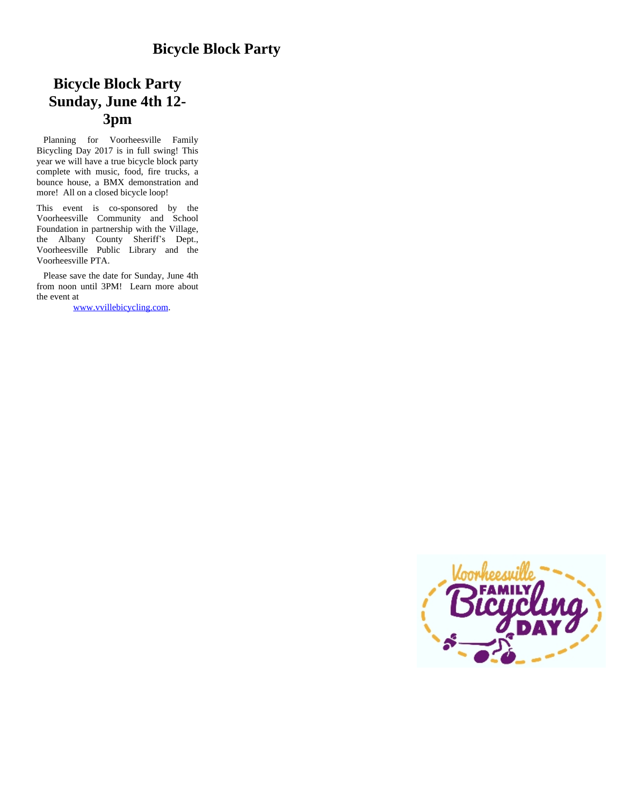## **Bicycle Block Party Sunday, June 4th 12- 3pm**

Planning for Voorheesville Family Bicycling Day 2017 is in full swing! This year we will have a true bicycle block party complete with music, food, fire trucks, a bounce house, a BMX demonstration and more! All on a closed bicycle loop!

This event is co-sponsored by the Voorheesville Community and School Foundation in partnership with the Village, the Albany County Sheriff's Dept., Voorheesville Public Library and the Voorheesville PTA.

Please save the date for Sunday, June 4th from noon until 3PM! Learn more about the event at

[www.vvillebicycling.com](http://www.vvillebicycling.com).